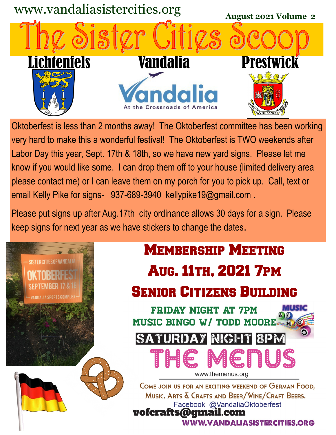

Oktoberfest is less than 2 months away! The Oktoberfest committee has been working very hard to make this a wonderful festival! The Oktoberfest is TWO weekends after Labor Day this year, Sept. 17th & 18th, so we have new yard signs. Please let me know if you would like some. I can drop them off to your house (limited delivery area please contact me) or I can leave them on my porch for you to pick up. Call, text or email Kelly Pike for signs- 937-689-3940 kellypike19@gmail.com .

Please put signs up after Aug.17th city ordinance allows 30 days for a sign. Please keep signs for next year as we have stickers to change the dates.

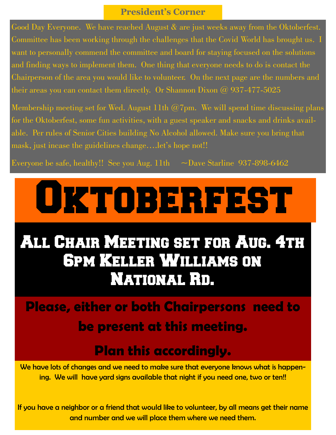#### **President's Corner**

Good Day Everyone. We have reached August & are just weeks away from the Oktoberfest. Committee has been working through the challenges that the Covid World has brought us. I want to personally commend the committee and board for staying focused on the solutions and finding ways to implement them. One thing that everyone needs to do is contact the Chairperson of the area you would like to volunteer. On the next page are the numbers and their areas you can contact them directly. Or Shannon Dixon  $\omega$  937-477-5025

Membership meeting set for Wed. August 11th  $@7$ pm. We will spend time discussing plans for the Oktoberfest, some fun activities, with a guest speaker and snacks and drinks available. Per rules of Senior Cities building No Alcohol allowed. Make sure you bring that mask, just incase the guidelines change....let's hope not!!

Everyone be safe, healthy!! See you Aug. 11th  $\sim$  Dave Starline 937-898-6462

# OKTOBERFEST

# All Chair Meeting set for Aug. 4th 6pm Keller Williams on National Rd.

## **Please, either or both Chairpersons need to be present at this meeting.**

### **Plan this accordingly.**

We have lots of changes and we need to make sure that everyone knows what is happening. We will have yard signs available that night if you need one, two or ten!!

If you have a neighbor or a friend that would like to volunteer, by all means get their name and number and we will place them where we need them.